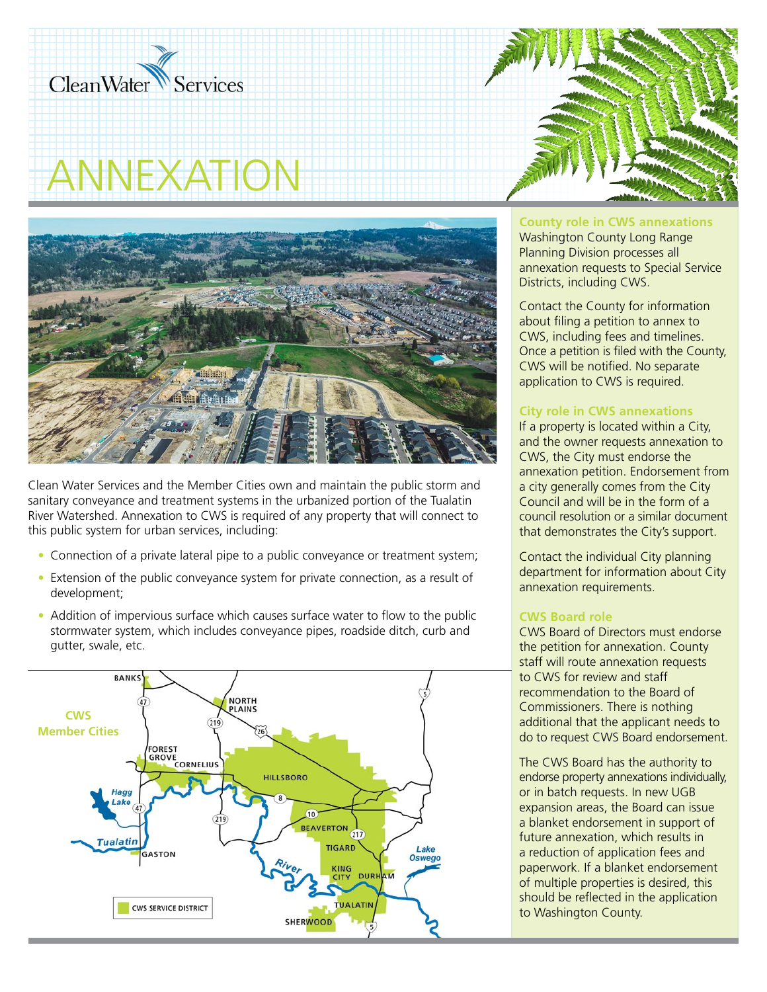

# ANNEXATION



Clean Water Services and the Member Cities own and maintain the public storm and sanitary conveyance and treatment systems in the urbanized portion of the Tualatin River Watershed. Annexation to CWS is required of any property that will connect to this public system for urban services, including:

- Connection of a private lateral pipe to a public conveyance or treatment system;
- Extension of the public conveyance system for private connection, as a result of development;
- Addition of impervious surface which causes surface water to flow to the public stormwater system, which includes conveyance pipes, roadside ditch, curb and gutter, swale, etc.





**County role in CWS annexations**

Washington County Long Range Planning Division processes all annexation requests to Special Service Districts, including CWS.

Contact the County for information about filing a petition to annex to CWS, including fees and timelines. Once a petition is filed with the County, CWS will be notified. No separate application to CWS is required.

## **City role in CWS annexations**

If a property is located within a City, and the owner requests annexation to CWS, the City must endorse the annexation petition. Endorsement from a city generally comes from the City Council and will be in the form of a council resolution or a similar document that demonstrates the City's support.

Contact the individual City planning department for information about City annexation requirements.

## **CWS Board role**

CWS Board of Directors must endorse the petition for annexation. County staff will route annexation requests to CWS for review and staff recommendation to the Board of Commissioners. There is nothing additional that the applicant needs to do to request CWS Board endorsement.

The CWS Board has the authority to endorse property annexations individually, or in batch requests. In new UGB expansion areas, the Board can issue a blanket endorsement in support of future annexation, which results in a reduction of application fees and paperwork. If a blanket endorsement of multiple properties is desired, this should be reflected in the application to Washington County.